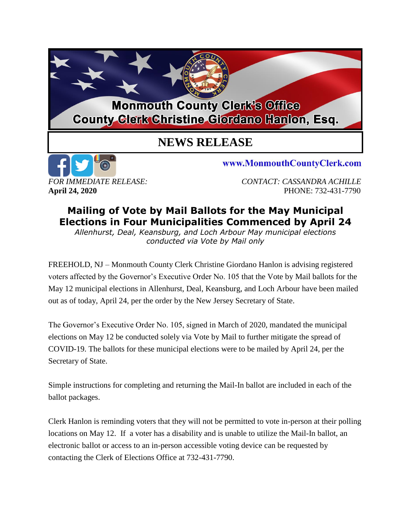## **Monmouth County Clerk's Office County Clerk Christine Giordano Hanlon, Esq.**

## **NEWS RELEASE**



www.MonmouthCountyClerk.com

*FOR IMMEDIATE RELEASE: CONTACT: CASSANDRA ACHILLE* **April 24, 2020** PHONE: 732-431-7790

## **Mailing of Vote by Mail Ballots for the May Municipal Elections in Four Municipalities Commenced by April 24**

*Allenhurst, Deal, Keansburg, and Loch Arbour May municipal elections conducted via Vote by Mail only*

FREEHOLD, NJ – Monmouth County Clerk Christine Giordano Hanlon is advising registered voters affected by the Governor's Executive Order No. 105 that the Vote by Mail ballots for the May 12 municipal elections in Allenhurst, Deal, Keansburg, and Loch Arbour have been mailed out as of today, April 24, per the order by the New Jersey Secretary of State.

The Governor's Executive Order No. 105, signed in March of 2020, mandated the municipal elections on May 12 be conducted solely via Vote by Mail to further mitigate the spread of COVID-19. The ballots for these municipal elections were to be mailed by April 24, per the Secretary of State.

Simple instructions for completing and returning the Mail-In ballot are included in each of the ballot packages.

Clerk Hanlon is reminding voters that they will not be permitted to vote in-person at their polling locations on May 12. If a voter has a disability and is unable to utilize the Mail-In ballot, an electronic ballot or access to an in-person accessible voting device can be requested by contacting the Clerk of Elections Office at 732-431-7790.